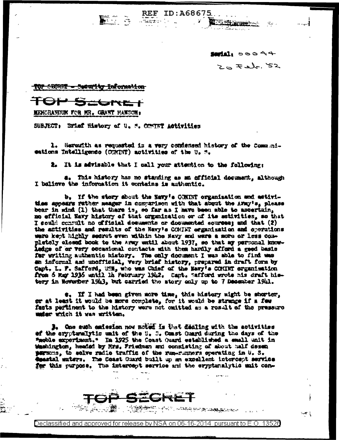$\sqrt{2}$ 

**Septel:** 00044  $Z \approx -2\lambda r.52$ 

**配布器设施** 

<del>TOP SECRET - Security Information</del>

<del>⊿l"t E≟ †</del>

**MENGRAHUR FOR MR. GRANT HANSON:** 

SUBJECT: Brief History of U. S. COMINT Activities

1. Herewith as requested is a very condensed history of the Communieations Intelligence (CONINT) motivities of the U. M.

**REF ID: A68675** 

المحتفظت

 $\mathbf{r}$ 

2. It is advisable that I call your attention to the following:

a. This history has no standing as sm official desument, although I balieve the information it contains is authentic.

b. If the story shout the Havy's CONINT organization and activities appears rather meager in comparison with that about the AWAY's, please bear in mind (1) that there is, so far as I have been able to ascertain, mo efficial Navy history of that organization or of its setivities, so that I sould commult no official documents or documented sources; and that (2) the affivities and results of the Navy's COMINT organization and operations were kept highly secret even within the Havy and were a more or less completoly closed book to the Army entil about 1937, so that my personal knowledge of or very occasional contacts with them hardly afford a good basis for writing authentic history. The only document I was able to find was an informal and unofficial, very briaf history, prepared in draft form by Capt. L. F. Safford, USE, who was Chief of the Navy's CONINT organization from 5 May 1935 until lh Pebruary 1942. Capt. Safford wrote his draft histery in November 1913, but carried the story only up to 7 Desember 1941.

e. If I had been given more time, this history might be shorter, or at least it would be more complete, for it would be strange if a few facts partinent to the history were not omitted as a result of the pressure under which it was written.

3. One such emission now noted is that dealing with the activities of the crypterallytic unit of the U. C. Const Cuard during the days of the "moble experiment." In 1925 the Coast Quard established a small unit in Washington, headed by Mrs. Friedman and consisting of about half desen persons, to selve radio traffic of the run-runners operating in U. S. esantal maters. The Coast Guard built up an excellent intercept service for this purpose. The intercept service and the eryptenalytic sait con-



**ゕヺ゚ゕゔ゜゠゠゚ヸヸゖ゙ゖ**ヷヷヸ゚ヹヸヸヸヸゟヹヹゕ゠

 $-4.5$ 

Declassified and approved for release by NSA on 06-16-2014 pursuant to E.O. 13526